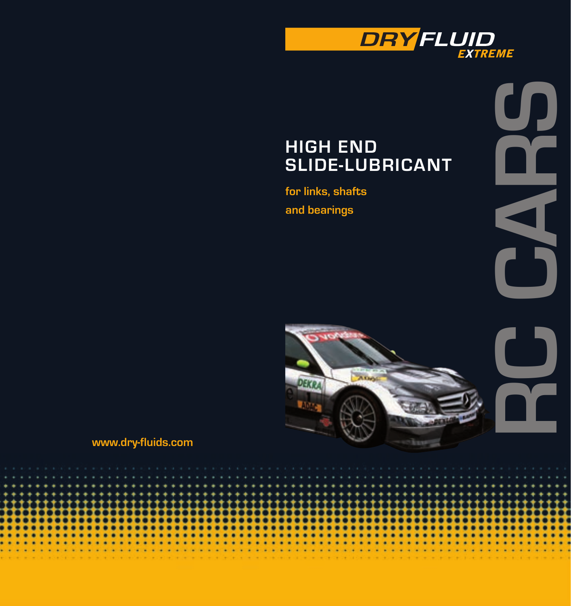

## **High End Slide-Lubricant**

**for links, shafts and bearings**

÷ ٠ ٠

 $\sim$ 

 $\sim$ 

**RC CARS**



٠ ٠ ٠

×

 $\mathbf{v} = \mathbf{v} + \mathbf{v} + \mathbf{v} + \mathbf{v}$ 

**www.dry-fluids.com**